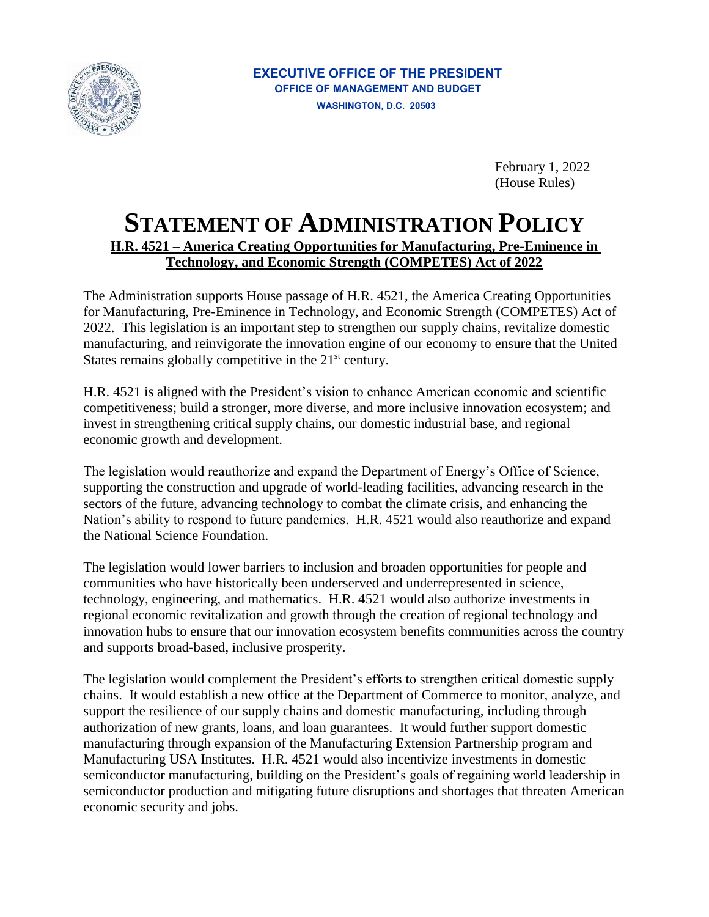

February 1, 2022 (House Rules)

## **STATEMENT OF ADMINISTRATION POLICY H.R. 4521 – America Creating Opportunities for Manufacturing, Pre-Eminence in Technology, and Economic Strength (COMPETES) Act of 2022**

The Administration supports House passage of H.R. 4521, the America Creating Opportunities for Manufacturing, Pre-Eminence in Technology, and Economic Strength (COMPETES) Act of 2022. This legislation is an important step to strengthen our supply chains, revitalize domestic manufacturing, and reinvigorate the innovation engine of our economy to ensure that the United States remains globally competitive in the  $21<sup>st</sup>$  century.

H.R. 4521 is aligned with the President's vision to enhance American economic and scientific competitiveness; build a stronger, more diverse, and more inclusive innovation ecosystem; and invest in strengthening critical supply chains, our domestic industrial base, and regional economic growth and development.

The legislation would reauthorize and expand the Department of Energy's Office of Science, supporting the construction and upgrade of world-leading facilities, advancing research in the sectors of the future, advancing technology to combat the climate crisis, and enhancing the Nation's ability to respond to future pandemics. H.R. 4521 would also reauthorize and expand the National Science Foundation.

The legislation would lower barriers to inclusion and broaden opportunities for people and communities who have historically been underserved and underrepresented in science, technology, engineering, and mathematics. H.R. 4521 would also authorize investments in regional economic revitalization and growth through the creation of regional technology and innovation hubs to ensure that our innovation ecosystem benefits communities across the country and supports broad-based, inclusive prosperity.

The legislation would complement the President's efforts to strengthen critical domestic supply chains. It would establish a new office at the Department of Commerce to monitor, analyze, and support the resilience of our supply chains and domestic manufacturing, including through authorization of new grants, loans, and loan guarantees. It would further support domestic manufacturing through expansion of the Manufacturing Extension Partnership program and Manufacturing USA Institutes. H.R. 4521 would also incentivize investments in domestic semiconductor manufacturing, building on the President's goals of regaining world leadership in semiconductor production and mitigating future disruptions and shortages that threaten American economic security and jobs.